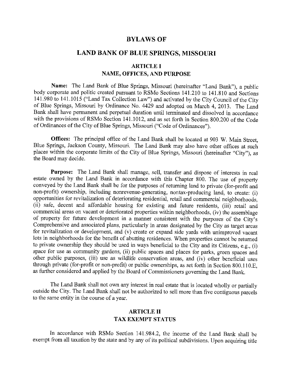### **BYLAWS OF**

# **LAND BANK OF BLUE SPRINGS, MISSOURI**

## **ARTICLE I NAME, OFFICES, AND PURPOSE**

Name: The Land Bank of Blue Springs, Missouri (hereinafter "Land Bank"), a public body corporate and politic created pursuant to RSMo Sections 141.210 to 141.810 and Sections 141.980 to 141.1015 ("Land Tax Collection Law") and activated by the City Council of the City of Blue Springs, Missouri by Ordinance No. 4429 and adopted on March 4, 2013. The Land Bank shall have permanent and perpetual duration until terminated and dissolved in accordance with the provisions of RSMo Section 141.1012, and as set forth in Section 800.200 of the Code of Ordinances of the City of Blue Springs, Missouri ("Code of Ordinances").

**Offices:** The principal office of the Land Bank shall be located at 903 W. Main Street, Blue Springs, Jackson County, Missouri. The Land Bank may also have other offices at such places within the corporate limits of the City of Blue Springs, Missouri (hereinafter "City"), as the Board may decide.

**Purpose:** The Land Bank shall manage, sell, transfer and dispose of interests in real estate owned by the Land Bank in accordance with this Chapter 800. The use of property conveyed by the Land Bank shall be for the purposes of returning land to private (for-profit and non-profit) ownership, including nonrevenue-generating, nontax-producing land, to create: (i) opportunities for revitalization of deteriorating residential, retail and commercial neighborhoods, (ii) safe, decent and affordable housing for existing and future residents, (iii) retail and commercial areas on vacant or deteriorated properties within neighborhoods, (iv) the assemblage of property for future development in a manner consistent with the purposes of the City's Comprehensive and associated plans, particularly in areas designated by the City as target areas for revitalization or development, and (v) create or expand side yards with unimproved vacant lots in neighborhoods for the benefit of abutting residences. When properties cannot be returned to private ownership they should be used in ways beneficial to the City and its Citizens, e.g., (i) space for use as community gardens, (ii) public spaces and places for parks, green spaces and other public purposes, (iii) use as wildlife conservation areas, and (iv) other beneficial uses through private (for-profit or non-profit) or public ownerships, as set forth in Section 800.11 O.E, as further considered and applied by the Board of Commissioners governing the Land Bank.

The Land Bank shall not own any interest in real estate that is located wholly or partially outside the City. The Land Bank shall not be authorized to sell more than five contiguous parcels to the same entity in the course of a year.

# **ARTICLE II TAX EXEMPT STATUS**

In accordance with RSMo Section 141.984.2, the income of the Land Bank shall be exempt from all taxation by the state and by any of its political subdivisions. Upon acquiring title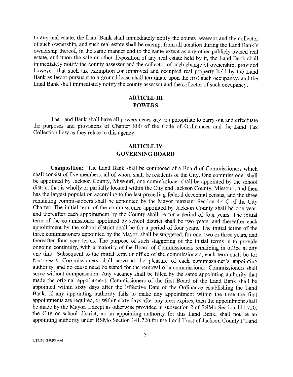to any real estate, the Land Bank shall immediately notify the county assessor and the collector of such ownership, and such real estate shall be exempt from all taxation during the Land Bank's ownership thereof, in the same manner and to the same extent as any other publicly owned real estate, and upon the sale or other disposition of any real estate held by it, the Land Bank shall immediately notify the county assessor and the collector of such change of ownership; provided however, that such tax exemption for improved and occupied real property held by the Land Bank as lessor pursuant to a ground lease shall terminate upon the first such occupancy, and the Land Bank shall immediately notify the county assessor and the collector of such occupancy.

### **ARTICLE III POWERS**

The Land Bank shall have all powers necessary or appropriate to carry out and effectuate the purposes and provisions of Chapter 800 of the Code of Ordinances and the Land Tax Collection Law as they relate to this agency.

# **ARTICLE IV GOVERNING BOARD**

**Composition:** The Land Bank shall be composed of a Board of Commissioners which shall consist of five members, all of whom shall be residents of the City. One commissioner shall be appointed by Jackson County, Missouri, one commissioner shall be appointed by the school district that is wholly or partially located within the City and Jackson County, Missouri, and then has the largest population according to the last preceding federal decennial census, and the three remaining commissioners shall be appointed by the Mayor pursuant Section 4.4.C of the City Charter. The initial term of the commissioner appointed by Jackson County shall be one year, and thereafter each appointment by the County shall be for a period of four years. The initial term of the commissioner appointed by school district shall be two years, and thereafter each appointment by the school district shall be for a period of four years. The initial terms of the three commissioners appointed by the Mayor, shall be staggered, for one, two or three years, and thereafter four year terms. The purpose of such staggering of the initial terms is to provide ongoing continuity, with a majority of the Board of Commissioners remaining in office at any one time. Subsequent to the initial term of office of the commissioners, each term shall be for four years. Commissioners shall serve at the pleasure of each commissioner's appointing authority, and no cause need be stated for the removal of a commissioner. Commissioners shall serve without compensation. Any vacancy shall be filled by the same appointing authority that made the original appointment. Commissioners of the first Board of the Land Bank shall be appointed within sixty days after the Effective Date of the Ordinance establishing the Land Bank. If any appointing authority fails to malce any appointment within the time the first appointments are required, or within sixty days after any term expires, then the appointment shall be made by the Mayor. Except as otherwise provided in subsection 2 of RSMo Section 141.720, the City or school district, as an appointing authority for this Land Bank, shall not be an appointing authority under RSMo Section 141.720 for the Land Trust of Jackson County ("Land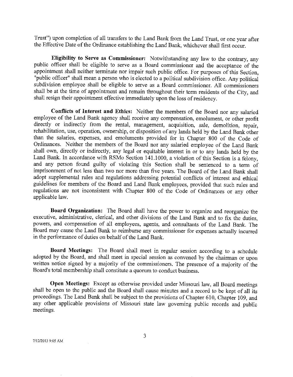Trust") upon completion of all transfers to the Land Bank from the Land Trust, or one year after the Effective Date of the Ordinance establishing the Land Bank, whichever shall first occur.

**Eligibility to Serve as Commissioner:** Notwithstanding any law to the contrary, any public officer shall be eligible to serve as a Board commissioner and the acceptance of the appointment shall neither terminate nor impair such public office. For purposes of this Section, "public officer" shall mean a person who is elected to a political subdivision office. Any political subdivision employee shall be eligible to serve as a Board commissioner. All commissioners shall be at the time of appointment and remain throughout their term residents of the City, and shall resign their appointment effective immediately upon the loss of residency.

**Conflicts of Interest and Ethics:** Neither the members of the Board nor any salaried employee of the Land Bank agency shall receive any compensation, emolument, or other profit directly or indirectly from the rental, management, acquisition, sale, demolition, repair, rehabilitation, use, operation, ownership, or disposition of any lands held by the Land Bank other than the salaries, expenses, and emoluments provided for in Chapter 800 of the Code of Ordinances. Neither the members of the Board nor any salaried employee of the Land Bank shall own, directly or indirectly, any legal or equitable interest in or to any lands held by the Land Bank. In accordance with RSMo Section 141.1000, a violation of this Section is a felony, and any person found guilty of violating this Section shall be sentenced to a term of imprisonment of not less than two nor more than five years. The Board of the Land Bank shall adopt supplemental rules and regulations addressing potential conflicts of interest and ethical guidelines for members of the Board and Land Bank employees, provided that such rules and regulations are not inconsistent with Chapter 800 of the Code of Ordinances or any other applicable law.

**Board Organization:** The Board shall have the power to organize and reorganize the executive, administrative, clerical, and other divisions of the Land Bank and to fix the duties, powers, and compensation of all employees, agents, and consultants of the Land Bank. The Board may cause the Land Bank to reimburse any commissioner for expenses actually incurred in the performance of duties on behalf of the Land Bank.

**Board Meetings:** The Board shall meet in regular session according to a schedule adopted by the Board, and shall meet in special session as convened by the chairman or upon written notice signed by a majority of the commissioners. The presence of a majority of the Board's total membership shall constitute a quorum to conduct business.

**Open Meetings:** Except as otherwise provided under Missouri law, all Board meetings shall be open to the public and the Board shall cause minutes and a record to be kept of all its proceedings. The Land Bank shall be subject to the provisions of Chapter 610, Chapter 109, and any other applicable provisions of Missouri state law governing public records and public meetings.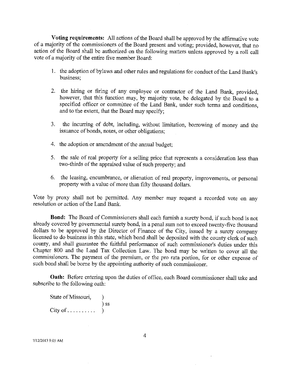**Voting requirements:** All actions of the Board shall be approved by the affirmative vote of a majority of the commissioners of the Board present and voting; provided, however, that no action of the Board shall be authorized on the following matters unless approved by a roll call vote of a majority of the entire five member Board:

- 1. the adoption of bylaws and other rules and regulations for conduct of the Land Bank's business;
- 2. the hiring or firing of any employee or contractor of the Land Bank, provided, however, that this function may, by majority vote, be delegated by the Board to a specified officer or committee of the Land Bank, under such terms and conditions, and to the extent, that the Board may specify;
- 3. the incurring of debt, including, without limitation, borrowing of money and the issuance of bonds, notes, or other obligations;
- 4. the adoption or amendment of the annual budget;
- 5. the sale of real property for a selling price that represents a consideration less than two-thirds of the appraised value of such property; and
- 6. the leasing, encumbrance, or alienation of real property, improvements, or personal property with a value of more than fifty thousand dollars.

Vote by proxy shall not be permitted. Any member may request a recorded vote on any resolution or action of the Land Bank.

**Bond:** The Board of Commissioners shall each furnish a surety bond, if such bond is not already covered by governmental surety bond, in a penal sum not to exceed twenty-five thousand dollars to be approved by the Director of Finance of the City, issued by a surety company licensed to do business in this state, which bond shall be deposited with the county clerk of such county, and shall guarantee the faithful performance of such commissioner's duties under this Chapter 800 and the Land Tax Collection Law. The bond may be written to cover all the commissioners. The payment of the premium, or the pro rata portion, for or other expense of such bond shall be borne by the appointing authority of such commissioner.

**Oath:** Before entering upon the duties of office, each Board commissioner shall take and subscribe to the following oath:

| State of Missouri,      |        |
|-------------------------|--------|
|                         | $)$ SS |
| $City of \ldots \ldots$ |        |

7/1212013 9:05 AM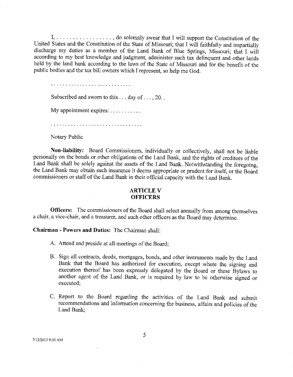I, ................. , do solemnly swear that I will support the Constitution of the United States and the Constitution of the State of Missouri; that I will faithfully and impartially discharge my duties as a member of the Land Bank of Blue Springs, Missouri; that I will according to my best knowledge and judgment, administer such tax delinquent and other lands held by the land bank according to the laws of the State of Missouri and for the benefit of the public bodies and the tax bill owners which I represent, so help me God.

Subscribed and sworn to this  $\dots$  day of  $\dots$ , 20...

My appointment expires:  $\dots \dots \dots$ 

Notary Public

**Non-liability:** Board Commissioners, individually or collectively, shall not be liable personally on the bonds or other obligations of the Land Bank, and the rights of creditors of the Land Bank shall be solely against the assets of the Land Bank. Notwithstanding the foregoing, the Land Bank may obtain such insurance it deems appropriate or prudent for itself, or the Board commissioners or staff of the Land Bank in their official capacity with the Land Bank.

### **ARTICLE V OFFICERS**

**Officers:** The commissioners of the Board shall select annually from among themselves a chair, a vice-chair, and a treasurer, and such other officers as the Board may determine.

**Chairman - Powers and Duties:** The Chairman shall:

 $\ddot{\phantom{a}}$ 

- A. Attend and preside at all meetings of the Board;
- B. Sign all contracts, deeds, mortgages, bonds, and other instruments made by the Land Bank that the Board has authorized for execution, except where the signing and execution thereof has been expressly delegated by the Board or these Bylaws to another agent of the Land Bank, or is required by law to be otherwise signed or executed;
- C. Report to the Board regarding the activities of the Land Bank and submit recommendations and information concerning the business, affairs and policies of the Land Bank;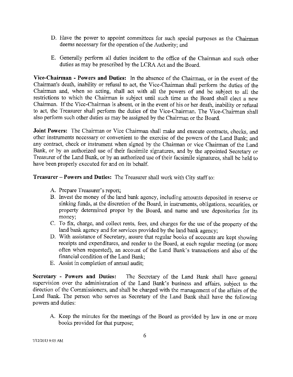- D. Have the power to appoint committees for such special purposes as the Chairman deems necessary for the operation of the Authority; and
- E. Generally perform all duties incident to the office of the Chairman and such other duties as may be prescribed by the LCRA Act and the Board.

**Vice-Chairman - Powers and Duties:** In the absence of the Chairman, or in the event of the Chairman's death, inability or refusal to act, the Vice-Chairman shall perform the duties of the Chairman and, when so acting, shall act with all the powers of and be subject to all the restrictions to which the Chairman is subject until such time as the Board shall elect a new Chairman. If the Vice-Chairman is absent, or in the event of his or her death, inability or refusal to act, the Treasurer shall perform the duties of the Vice-Chairman. The Vice-Chairman shall also perform such other duties as may be assigned by the Chairman or the Board.

**Joint Powers:** The Chairman or Vice Chairman shall make and execute contracts, checks, and other instruments necessary or convenient to the exercise of the powers of the Land Banlc; and any contract, check or instrument when signed by the Chairman or vice Chairman of the Land Bank, or by an authorized use of their facsimile signatures, and by the appointed Secretary or Treasurer of the Land Bank, or by an authorized use of their facsimile signatures, shall be held to have been properly executed for and on its behalf.

**Treasurer-Powers and Duties:** The Treasurer shall work with City staff to:

- A. Prepare Treasurer's report;
- B. Invest the money of the land banlc agency, including amounts deposited in reserve or sinking funds, at the discretion of the Board, in instruments, obligations, securities, or property determined proper by the Board, and name and use depositories for its money;
- C. To fix, charge, and collect rents, fees, and charges for the use of the property of the land bank agency and for services provided by the land bank agency;
- D. With assistance of Secretary, assure that regular books of accounts are kept showing receipts and expenditures, and render to the Board, at each regular meeting (or more often when requested), an account of the Land Bank's transactions and also of the financial condition of the Land Banlc;
- E. Assist in completion of annual audit;

**Secretary - Powers and Duties:** The Secretary of the Land Bank shall have general supervision over the administration of the Land Bank's business and affairs, subject to the direction of the Commissioners, and shall be charged with the management of the affairs of the Land Bank. The person who serves as Secretary of the Land Bank shall have the following powers and duties:

A. Keep the minutes for the meetings of the Board as provided by law in one or more books provided for that purpose;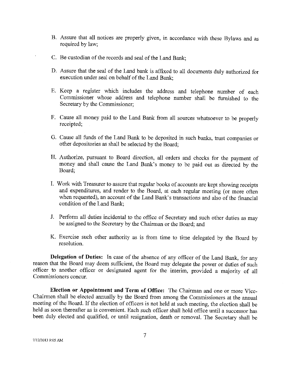- B. Assure that all notices are properly given, in accordance with these Bylaws and as required by law;
- C. Be custodian of the records and seal of the Land Bank;
- D. Assure that the seal of the Land bank is affixed to all documents duly authorized for execution under seal on behalf of the Land Bank;
- E. Keep a register which includes the address and telephone number of each Commissioner whose address and telephone number shall be furnished to the Secretary by the Commissioner;
- F. Cause all money paid to the Land Bank from all sources whatsoever to be properly receipted;
- G. Cause all funds of the Land Bank to be deposited in such banks, trust companies or other depositories as shall be selected by the Board;
- H. Authorize, pursuant to Board direction, all orders and checks for the payment of money and shall cause the Land Bank's money to be paid out as directed by the Board;
- I. Work with Treasurer to assure that regular books of accounts are kept showing receipts and expenditures, and render to the Board, at each regular meeting (or more often when requested), an account of the Land Bank's transactions and also of the financial condition of the Land Bank;
- J. Perform all duties incidental to the office of Secretary and such other duties as may be assigned to the Secretary by the Chairman or the Board; and
- K. Exercise such other authority as is from time to time delegated by the Board by resolution.

**Delegation of Duties:** In case of the absence of any officer of the Land Bank, for any reason that the Board may deem sufficient, the Board may delegate the power or duties of such officer to another officer or designated agent for the interim, provided a majority of all Commissioners concur.

**Election or Appointment and Term of Office:** The Chairman and one or more Vice-Chairmen shall be elected annually by the Board from among the Commissioners at the annual meeting of the Board. If the election of officers is not held at such meeting, the election shall be held as soon thereafter as is convenient. Each such officer shall hold office until a successor has been duly elected and qualified, or until resignation, death or removal. The Secretary shall be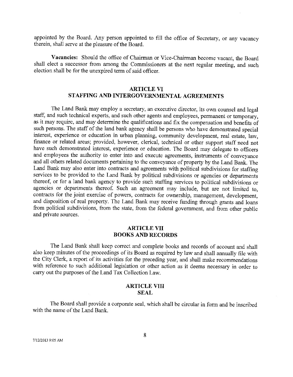appointed by the Board. Any person appointed to fill the office of Secretary, or any vacancy therein, shall serve at the pleasure of the Board.

**Vacancies:** Should the office of Chairman or Vice-Chairman become vacant, the Board shall elect a successor from among the Commissioners at the next regular meeting, and such election shall be for the unexpired term of said officer.

### **ARTICLE VI STAFFING AND INTERGOVERNMENTAL AGREEMENTS**

The Land Bank may employ a secretary, an executive director, its own counsel and legal staff, and such technical experts, and such other agents and employees, permanent or temporary, as it may require, and may determine the qualifications and fix the compensation and benefits of such persons. The staff of the land bank agency shall be persons who have demonstrated special interest, experience or education in urban planning, community development, real estate, law, finance or related areas; provided, however, clerical, technical or other support staff need not have such demonstrated interest, experience or education. The Board may delegate to officers and employees the authority to enter into and execute agreements, instruments of conveyance and all others related documents pertaining to the conveyance of property by the Land Bank. The Land Bank may also enter into contracts and agreements with political subdivisions for staffing services to be provided to the Land Bank by political subdivisions or agencies or departments thereof, or for a land bank agency to provide such staffing services to political subdivisions or agencies or departments thereof. Such an agreement may include, but are not limited to, contracts for the joint exercise of powers, contracts for ownership, management, development, and disposition of real property. The Land Bank may receive funding through grants and loans from political subdivisions, from the state, from the federal government, and from other public and private sources.

#### **ARTICLE VII BOOKS AND RECORDS**

The Land Bank shall keep correct and complete books and records of account and shall *also* keep minutes of the proceedings of its Board as required by law and shall annually file with the City Clerk, a report of its activities for the preceding year, and shall make recommendations with reference to such additional legislation or other action as it deems necessary in order to carry out the purposes of the Land Tax Collection Law.

#### **ARTICLE VIII SEAL**

The Board shall provide a corporate seal, which shall be circular in form and be inscribed with the name of the Land Bank.